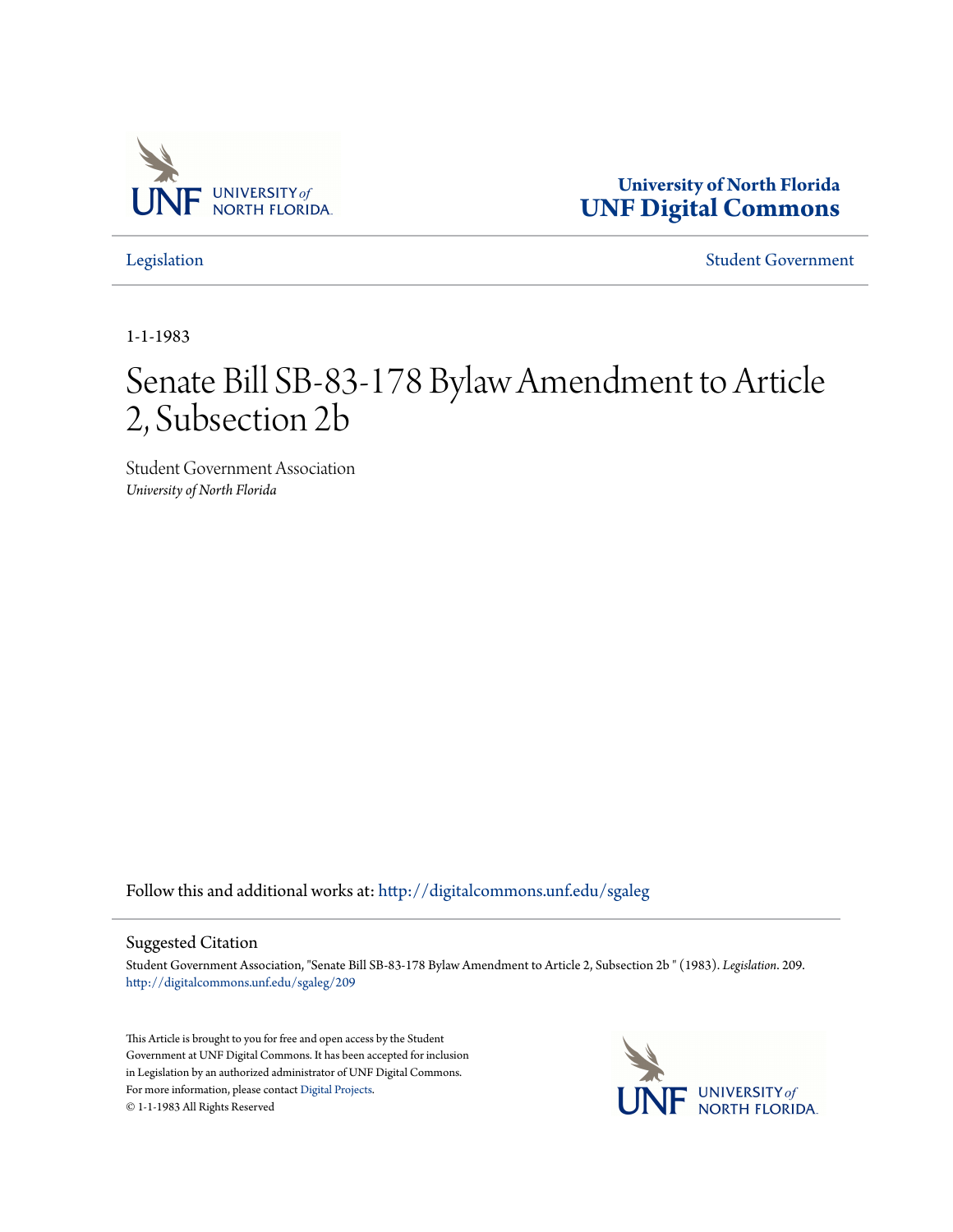

**University of North Florida [UNF Digital Commons](http://digitalcommons.unf.edu?utm_source=digitalcommons.unf.edu%2Fsgaleg%2F209&utm_medium=PDF&utm_campaign=PDFCoverPages)**

[Legislation](http://digitalcommons.unf.edu/sgaleg?utm_source=digitalcommons.unf.edu%2Fsgaleg%2F209&utm_medium=PDF&utm_campaign=PDFCoverPages) [Student Government](http://digitalcommons.unf.edu/sga?utm_source=digitalcommons.unf.edu%2Fsgaleg%2F209&utm_medium=PDF&utm_campaign=PDFCoverPages)

1-1-1983

## Senate Bill SB-83-178 Bylaw Amendment to Article 2, Subsection 2b

Student Government Association *University of North Florida*

Follow this and additional works at: [http://digitalcommons.unf.edu/sgaleg](http://digitalcommons.unf.edu/sgaleg?utm_source=digitalcommons.unf.edu%2Fsgaleg%2F209&utm_medium=PDF&utm_campaign=PDFCoverPages)

## Suggested Citation

Student Government Association, "Senate Bill SB-83-178 Bylaw Amendment to Article 2, Subsection 2b " (1983). *Legislation*. 209. [http://digitalcommons.unf.edu/sgaleg/209](http://digitalcommons.unf.edu/sgaleg/209?utm_source=digitalcommons.unf.edu%2Fsgaleg%2F209&utm_medium=PDF&utm_campaign=PDFCoverPages)

This Article is brought to you for free and open access by the Student Government at UNF Digital Commons. It has been accepted for inclusion in Legislation by an authorized administrator of UNF Digital Commons. For more information, please contact [Digital Projects](mailto:lib-digital@unf.edu). © 1-1-1983 All Rights Reserved